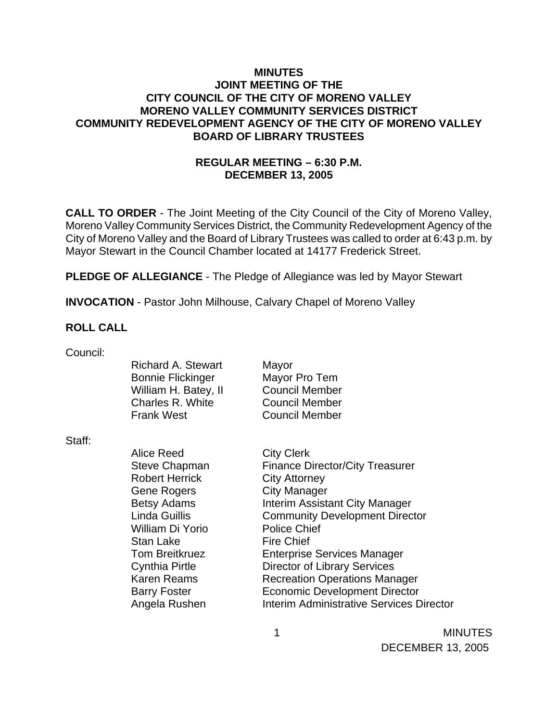### **MINUTES JOINT MEETING OF THE CITY COUNCIL OF THE CITY OF MORENO VALLEY MORENO VALLEY COMMUNITY SERVICES DISTRICT COMMUNITY REDEVELOPMENT AGENCY OF THE CITY OF MORENO VALLEY BOARD OF LIBRARY TRUSTEES**

## **REGULAR MEETING – 6:30 P.M. DECEMBER 13, 2005**

**CALL TO ORDER** - The Joint Meeting of the City Council of the City of Moreno Valley, Moreno Valley Community Services District, the Community Redevelopment Agency of the City of Moreno Valley and the Board of Library Trustees was called to order at 6:43 p.m. by Mayor Stewart in the Council Chamber located at 14177 Frederick Street.

**PLEDGE OF ALLEGIANCE** - The Pledge of Allegiance was led by Mayor Stewart

**INVOCATION** - Pastor John Milhouse, Calvary Chapel of Moreno Valley

### **ROLL CALL**

| Council: |                          |                                          |
|----------|--------------------------|------------------------------------------|
|          | Richard A. Stewart       | Mayor                                    |
|          | <b>Bonnie Flickinger</b> | Mayor Pro Tem                            |
|          | William H. Batey, II     | <b>Council Member</b>                    |
|          | Charles R. White         | <b>Council Member</b>                    |
|          | <b>Frank West</b>        | <b>Council Member</b>                    |
| Staff:   |                          |                                          |
|          | Alice Reed               |                                          |
|          |                          | <b>City Clerk</b>                        |
|          | <b>Steve Chapman</b>     | <b>Finance Director/City Treasurer</b>   |
|          | <b>Robert Herrick</b>    | <b>City Attorney</b>                     |
|          | <b>Gene Rogers</b>       | <b>City Manager</b>                      |
|          | <b>Betsy Adams</b>       | Interim Assistant City Manager           |
|          | Linda Guillis            | <b>Community Development Director</b>    |
|          | William Di Yorio         | <b>Police Chief</b>                      |
|          | <b>Stan Lake</b>         | <b>Fire Chief</b>                        |
|          | <b>Tom Breitkruez</b>    | <b>Enterprise Services Manager</b>       |
|          | <b>Cynthia Pirtle</b>    | <b>Director of Library Services</b>      |
|          | <b>Karen Reams</b>       |                                          |
|          |                          | <b>Recreation Operations Manager</b>     |
|          | <b>Barry Foster</b>      | <b>Economic Development Director</b>     |
|          | Angela Rushen            | Interim Administrative Services Director |
|          |                          |                                          |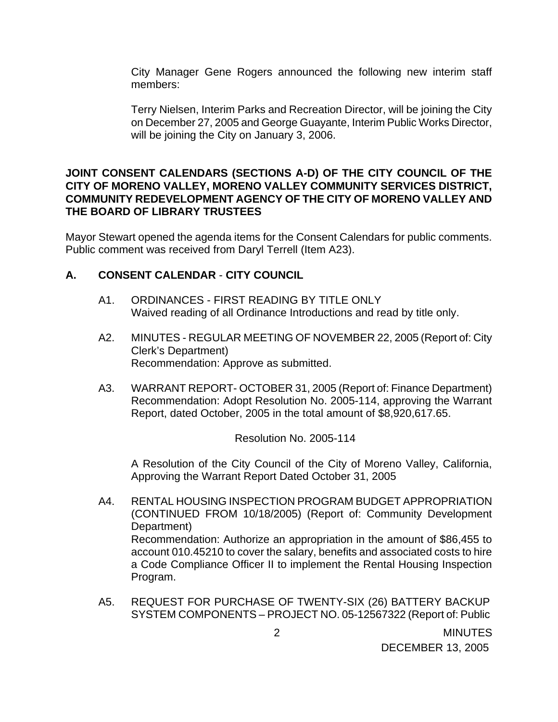City Manager Gene Rogers announced the following new interim staff members:

Terry Nielsen, Interim Parks and Recreation Director, will be joining the City on December 27, 2005 and George Guayante, Interim Public Works Director, will be joining the City on January 3, 2006.

### **JOINT CONSENT CALENDARS (SECTIONS A-D) OF THE CITY COUNCIL OF THE CITY OF MORENO VALLEY, MORENO VALLEY COMMUNITY SERVICES DISTRICT, COMMUNITY REDEVELOPMENT AGENCY OF THE CITY OF MORENO VALLEY AND THE BOARD OF LIBRARY TRUSTEES**

Mayor Stewart opened the agenda items for the Consent Calendars for public comments. Public comment was received from Daryl Terrell (Item A23).

## **A. CONSENT CALENDAR** - **CITY COUNCIL**

- A1. ORDINANCES FIRST READING BY TITLE ONLY Waived reading of all Ordinance Introductions and read by title only.
- A2. MINUTES REGULAR MEETING OF NOVEMBER 22, 2005 (Report of: City Clerk's Department) Recommendation: Approve as submitted.
- A3. WARRANT REPORT- OCTOBER 31, 2005 (Report of: Finance Department) Recommendation: Adopt Resolution No. 2005-114, approving the Warrant Report, dated October, 2005 in the total amount of \$8,920,617.65.

Resolution No. 2005-114

 A Resolution of the City Council of the City of Moreno Valley, California, Approving the Warrant Report Dated October 31, 2005

- A4. RENTAL HOUSING INSPECTION PROGRAM BUDGET APPROPRIATION (CONTINUED FROM 10/18/2005) (Report of: Community Development Department) Recommendation: Authorize an appropriation in the amount of \$86,455 to account 010.45210 to cover the salary, benefits and associated costs to hire a Code Compliance Officer II to implement the Rental Housing Inspection Program.
- A5. REQUEST FOR PURCHASE OF TWENTY-SIX (26) BATTERY BACKUP SYSTEM COMPONENTS – PROJECT NO. 05-12567322 (Report of: Public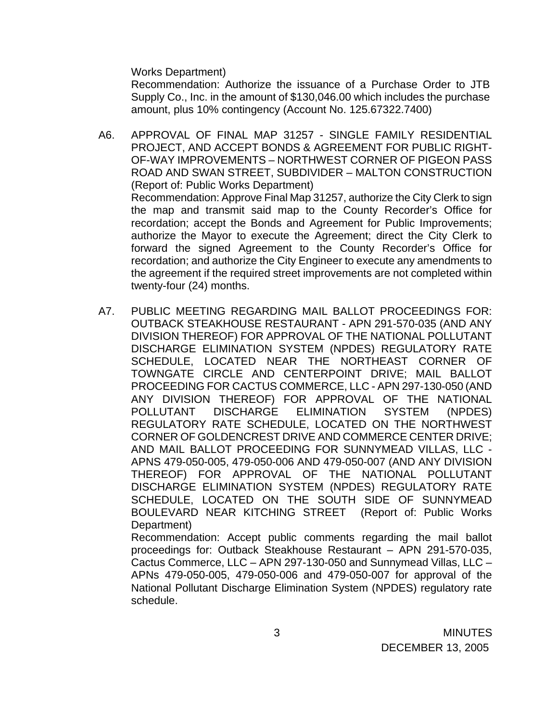Works Department)

 Recommendation: Authorize the issuance of a Purchase Order to JTB Supply Co., Inc. in the amount of \$130,046.00 which includes the purchase amount, plus 10% contingency (Account No. 125.67322.7400)

- A6. APPROVAL OF FINAL MAP 31257 SINGLE FAMILY RESIDENTIAL PROJECT, AND ACCEPT BONDS & AGREEMENT FOR PUBLIC RIGHT-OF-WAY IMPROVEMENTS – NORTHWEST CORNER OF PIGEON PASS ROAD AND SWAN STREET, SUBDIVIDER – MALTON CONSTRUCTION (Report of: Public Works Department) Recommendation: Approve Final Map 31257, authorize the City Clerk to sign the map and transmit said map to the County Recorder's Office for recordation; accept the Bonds and Agreement for Public Improvements; authorize the Mayor to execute the Agreement; direct the City Clerk to forward the signed Agreement to the County Recorder's Office for recordation; and authorize the City Engineer to execute any amendments to the agreement if the required street improvements are not completed within twenty-four (24) months.
- A7. PUBLIC MEETING REGARDING MAIL BALLOT PROCEEDINGS FOR: OUTBACK STEAKHOUSE RESTAURANT - APN 291-570-035 (AND ANY DIVISION THEREOF) FOR APPROVAL OF THE NATIONAL POLLUTANT DISCHARGE ELIMINATION SYSTEM (NPDES) REGULATORY RATE SCHEDULE, LOCATED NEAR THE NORTHEAST CORNER OF TOWNGATE CIRCLE AND CENTERPOINT DRIVE; MAIL BALLOT PROCEEDING FOR CACTUS COMMERCE, LLC - APN 297-130-050 (AND ANY DIVISION THEREOF) FOR APPROVAL OF THE NATIONAL POLLUTANT DISCHARGE ELIMINATION SYSTEM (NPDES) REGULATORY RATE SCHEDULE, LOCATED ON THE NORTHWEST CORNER OF GOLDENCREST DRIVE AND COMMERCE CENTER DRIVE; AND MAIL BALLOT PROCEEDING FOR SUNNYMEAD VILLAS, LLC - APNS 479-050-005, 479-050-006 AND 479-050-007 (AND ANY DIVISION THEREOF) FOR APPROVAL OF THE NATIONAL POLLUTANT DISCHARGE ELIMINATION SYSTEM (NPDES) REGULATORY RATE SCHEDULE, LOCATED ON THE SOUTH SIDE OF SUNNYMEAD BOULEVARD NEAR KITCHING STREET (Report of: Public Works Department)

Recommendation: Accept public comments regarding the mail ballot proceedings for: Outback Steakhouse Restaurant – APN 291-570-035, Cactus Commerce, LLC – APN 297-130-050 and Sunnymead Villas, LLC – APNs 479-050-005, 479-050-006 and 479-050-007 for approval of the National Pollutant Discharge Elimination System (NPDES) regulatory rate schedule.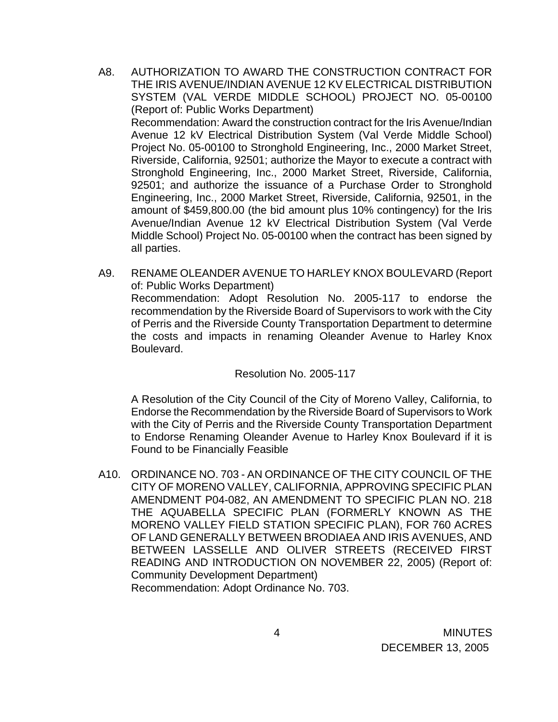- A8. AUTHORIZATION TO AWARD THE CONSTRUCTION CONTRACT FOR THE IRIS AVENUE/INDIAN AVENUE 12 KV ELECTRICAL DISTRIBUTION SYSTEM (VAL VERDE MIDDLE SCHOOL) PROJECT NO. 05-00100 (Report of: Public Works Department) Recommendation: Award the construction contract for the Iris Avenue/Indian Avenue 12 kV Electrical Distribution System (Val Verde Middle School) Project No. 05-00100 to Stronghold Engineering, Inc., 2000 Market Street, Riverside, California, 92501; authorize the Mayor to execute a contract with Stronghold Engineering, Inc., 2000 Market Street, Riverside, California, 92501; and authorize the issuance of a Purchase Order to Stronghold Engineering, Inc., 2000 Market Street, Riverside, California, 92501, in the amount of \$459,800.00 (the bid amount plus 10% contingency) for the Iris Avenue/Indian Avenue 12 kV Electrical Distribution System (Val Verde Middle School) Project No. 05-00100 when the contract has been signed by all parties.
- A9. RENAME OLEANDER AVENUE TO HARLEY KNOX BOULEVARD (Report of: Public Works Department) Recommendation: Adopt Resolution No. 2005-117 to endorse the recommendation by the Riverside Board of Supervisors to work with the City of Perris and the Riverside County Transportation Department to determine the costs and impacts in renaming Oleander Avenue to Harley Knox Boulevard.

Resolution No. 2005-117

A Resolution of the City Council of the City of Moreno Valley, California, to Endorse the Recommendation by the Riverside Board of Supervisors to Work with the City of Perris and the Riverside County Transportation Department to Endorse Renaming Oleander Avenue to Harley Knox Boulevard if it is Found to be Financially Feasible

A10. ORDINANCE NO. 703 - AN ORDINANCE OF THE CITY COUNCIL OF THE CITY OF MORENO VALLEY, CALIFORNIA, APPROVING SPECIFIC PLAN AMENDMENT P04-082, AN AMENDMENT TO SPECIFIC PLAN NO. 218 THE AQUABELLA SPECIFIC PLAN (FORMERLY KNOWN AS THE MORENO VALLEY FIELD STATION SPECIFIC PLAN), FOR 760 ACRES OF LAND GENERALLY BETWEEN BRODIAEA AND IRIS AVENUES, AND BETWEEN LASSELLE AND OLIVER STREETS (RECEIVED FIRST READING AND INTRODUCTION ON NOVEMBER 22, 2005) (Report of: Community Development Department) Recommendation: Adopt Ordinance No. 703.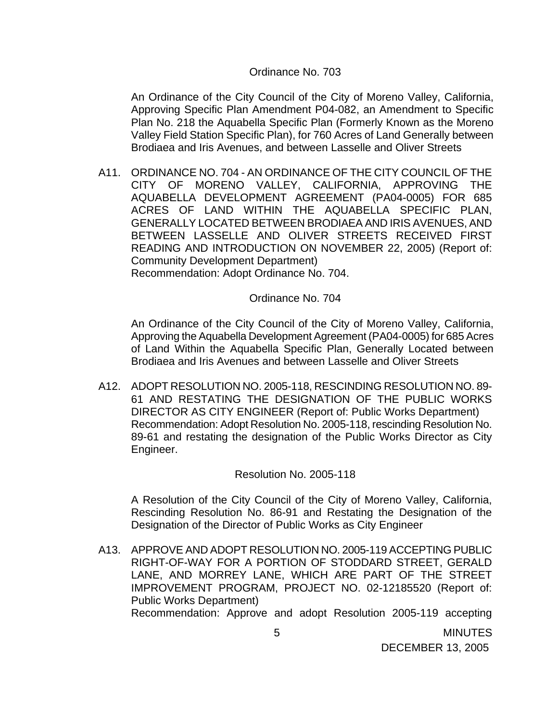#### Ordinance No. 703

An Ordinance of the City Council of the City of Moreno Valley, California, Approving Specific Plan Amendment P04-082, an Amendment to Specific Plan No. 218 the Aquabella Specific Plan (Formerly Known as the Moreno Valley Field Station Specific Plan), for 760 Acres of Land Generally between Brodiaea and Iris Avenues, and between Lasselle and Oliver Streets

A11. ORDINANCE NO. 704 - AN ORDINANCE OF THE CITY COUNCIL OF THE CITY OF MORENO VALLEY, CALIFORNIA, APPROVING THE AQUABELLA DEVELOPMENT AGREEMENT (PA04-0005) FOR 685 ACRES OF LAND WITHIN THE AQUABELLA SPECIFIC PLAN, GENERALLY LOCATED BETWEEN BRODIAEA AND IRIS AVENUES, AND BETWEEN LASSELLE AND OLIVER STREETS RECEIVED FIRST READING AND INTRODUCTION ON NOVEMBER 22, 2005) (Report of: Community Development Department) Recommendation: Adopt Ordinance No. 704.

Ordinance No. 704

An Ordinance of the City Council of the City of Moreno Valley, California, Approving the Aquabella Development Agreement (PA04-0005) for 685 Acres of Land Within the Aquabella Specific Plan, Generally Located between Brodiaea and Iris Avenues and between Lasselle and Oliver Streets

A12. ADOPT RESOLUTION NO. 2005-118, RESCINDING RESOLUTION NO. 89- 61 AND RESTATING THE DESIGNATION OF THE PUBLIC WORKS DIRECTOR AS CITY ENGINEER (Report of: Public Works Department) Recommendation: Adopt Resolution No. 2005-118, rescinding Resolution No. 89-61 and restating the designation of the Public Works Director as City Engineer.

Resolution No. 2005-118

A Resolution of the City Council of the City of Moreno Valley, California, Rescinding Resolution No. 86-91 and Restating the Designation of the Designation of the Director of Public Works as City Engineer

A13. APPROVE AND ADOPT RESOLUTION NO. 2005-119 ACCEPTING PUBLIC RIGHT-OF-WAY FOR A PORTION OF STODDARD STREET, GERALD LANE, AND MORREY LANE, WHICH ARE PART OF THE STREET IMPROVEMENT PROGRAM, PROJECT NO. 02-12185520 (Report of: Public Works Department) Recommendation: Approve and adopt Resolution 2005-119 accepting

DECEMBER 13, 2005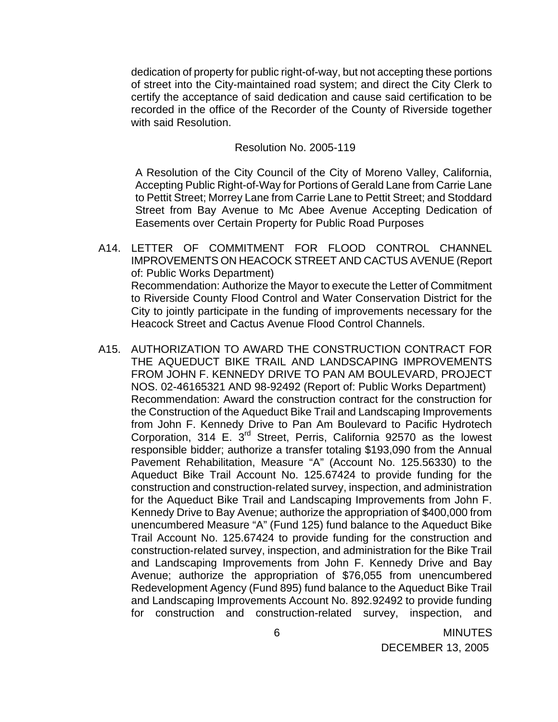dedication of property for public right-of-way, but not accepting these portions of street into the City-maintained road system; and direct the City Clerk to certify the acceptance of said dedication and cause said certification to be recorded in the office of the Recorder of the County of Riverside together with said Resolution.

#### Resolution No. 2005-119

A Resolution of the City Council of the City of Moreno Valley, California, Accepting Public Right-of-Way for Portions of Gerald Lane from Carrie Lane to Pettit Street; Morrey Lane from Carrie Lane to Pettit Street; and Stoddard Street from Bay Avenue to Mc Abee Avenue Accepting Dedication of Easements over Certain Property for Public Road Purposes

- A14. LETTER OF COMMITMENT FOR FLOOD CONTROL CHANNEL IMPROVEMENTS ON HEACOCK STREET AND CACTUS AVENUE (Report of: Public Works Department) Recommendation: Authorize the Mayor to execute the Letter of Commitment to Riverside County Flood Control and Water Conservation District for the City to jointly participate in the funding of improvements necessary for the Heacock Street and Cactus Avenue Flood Control Channels.
- A15. AUTHORIZATION TO AWARD THE CONSTRUCTION CONTRACT FOR THE AQUEDUCT BIKE TRAIL AND LANDSCAPING IMPROVEMENTS FROM JOHN F. KENNEDY DRIVE TO PAN AM BOULEVARD, PROJECT NOS. 02-46165321 AND 98-92492 (Report of: Public Works Department) Recommendation: Award the construction contract for the construction for the Construction of the Aqueduct Bike Trail and Landscaping Improvements from John F. Kennedy Drive to Pan Am Boulevard to Pacific Hydrotech Corporation, 314 E.  $3^{rd}$  Street, Perris, California 92570 as the lowest responsible bidder; authorize a transfer totaling \$193,090 from the Annual Pavement Rehabilitation, Measure "A" (Account No. 125.56330) to the Aqueduct Bike Trail Account No. 125.67424 to provide funding for the construction and construction-related survey, inspection, and administration for the Aqueduct Bike Trail and Landscaping Improvements from John F. Kennedy Drive to Bay Avenue; authorize the appropriation of \$400,000 from unencumbered Measure "A" (Fund 125) fund balance to the Aqueduct Bike Trail Account No. 125.67424 to provide funding for the construction and construction-related survey, inspection, and administration for the Bike Trail and Landscaping Improvements from John F. Kennedy Drive and Bay Avenue; authorize the appropriation of \$76,055 from unencumbered Redevelopment Agency (Fund 895) fund balance to the Aqueduct Bike Trail and Landscaping Improvements Account No. 892.92492 to provide funding for construction and construction-related survey, inspection, and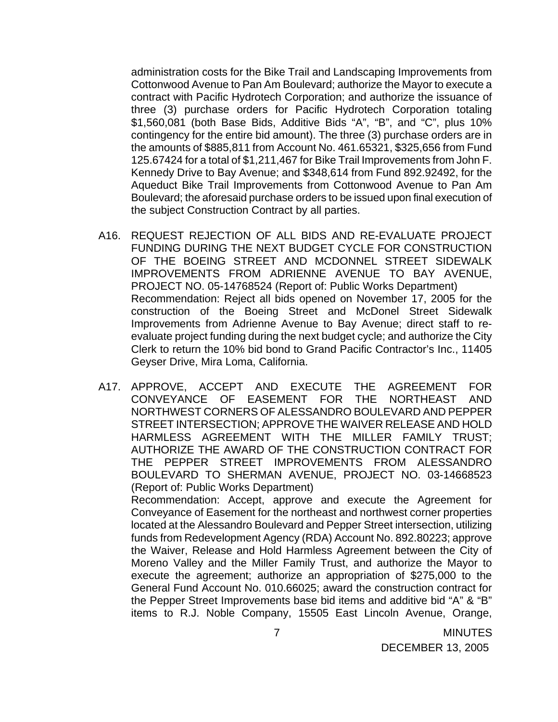administration costs for the Bike Trail and Landscaping Improvements from Cottonwood Avenue to Pan Am Boulevard; authorize the Mayor to execute a contract with Pacific Hydrotech Corporation; and authorize the issuance of three (3) purchase orders for Pacific Hydrotech Corporation totaling \$1,560,081 (both Base Bids, Additive Bids "A", "B", and "C", plus 10% contingency for the entire bid amount). The three (3) purchase orders are in the amounts of \$885,811 from Account No. 461.65321, \$325,656 from Fund 125.67424 for a total of \$1,211,467 for Bike Trail Improvements from John F. Kennedy Drive to Bay Avenue; and \$348,614 from Fund 892.92492, for the Aqueduct Bike Trail Improvements from Cottonwood Avenue to Pan Am Boulevard; the aforesaid purchase orders to be issued upon final execution of the subject Construction Contract by all parties.

- A16. REQUEST REJECTION OF ALL BIDS AND RE-EVALUATE PROJECT FUNDING DURING THE NEXT BUDGET CYCLE FOR CONSTRUCTION OF THE BOEING STREET AND MCDONNEL STREET SIDEWALK IMPROVEMENTS FROM ADRIENNE AVENUE TO BAY AVENUE, PROJECT NO. 05-14768524 (Report of: Public Works Department) Recommendation: Reject all bids opened on November 17, 2005 for the construction of the Boeing Street and McDonel Street Sidewalk Improvements from Adrienne Avenue to Bay Avenue; direct staff to reevaluate project funding during the next budget cycle; and authorize the City Clerk to return the 10% bid bond to Grand Pacific Contractor's Inc., 11405 Geyser Drive, Mira Loma, California.
- A17. APPROVE, ACCEPT AND EXECUTE THE AGREEMENT FOR CONVEYANCE OF EASEMENT FOR THE NORTHEAST AND NORTHWEST CORNERS OF ALESSANDRO BOULEVARD AND PEPPER STREET INTERSECTION; APPROVE THE WAIVER RELEASE AND HOLD HARMLESS AGREEMENT WITH THE MILLER FAMILY TRUST; AUTHORIZE THE AWARD OF THE CONSTRUCTION CONTRACT FOR THE PEPPER STREET IMPROVEMENTS FROM ALESSANDRO BOULEVARD TO SHERMAN AVENUE, PROJECT NO. 03-14668523 (Report of: Public Works Department)

 Recommendation: Accept, approve and execute the Agreement for Conveyance of Easement for the northeast and northwest corner properties located at the Alessandro Boulevard and Pepper Street intersection, utilizing funds from Redevelopment Agency (RDA) Account No. 892.80223; approve the Waiver, Release and Hold Harmless Agreement between the City of Moreno Valley and the Miller Family Trust, and authorize the Mayor to execute the agreement; authorize an appropriation of \$275,000 to the General Fund Account No. 010.66025; award the construction contract for the Pepper Street Improvements base bid items and additive bid "A" & "B" items to R.J. Noble Company, 15505 East Lincoln Avenue, Orange,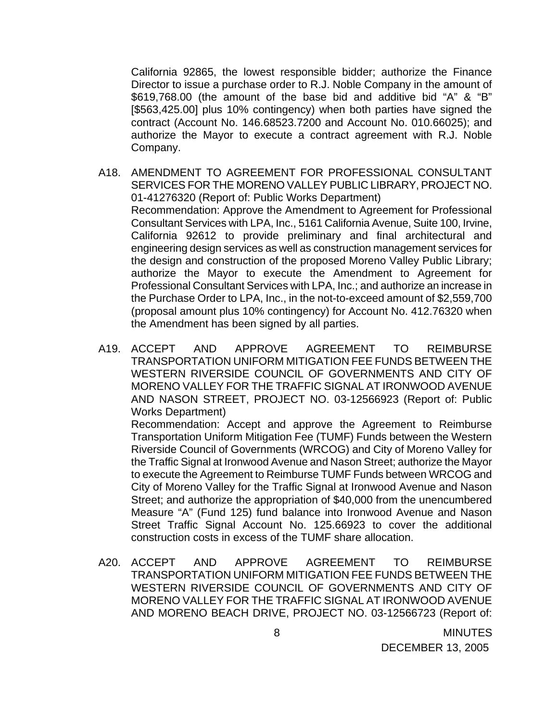California 92865, the lowest responsible bidder; authorize the Finance Director to issue a purchase order to R.J. Noble Company in the amount of \$619,768.00 (the amount of the base bid and additive bid "A" & "B" [\$563,425.00] plus 10% contingency) when both parties have signed the contract (Account No. 146.68523.7200 and Account No. 010.66025); and authorize the Mayor to execute a contract agreement with R.J. Noble Company.

- A18. AMENDMENT TO AGREEMENT FOR PROFESSIONAL CONSULTANT SERVICES FOR THE MORENO VALLEY PUBLIC LIBRARY, PROJECT NO. 01-41276320 (Report of: Public Works Department) Recommendation: Approve the Amendment to Agreement for Professional Consultant Services with LPA, Inc., 5161 California Avenue, Suite 100, Irvine, California 92612 to provide preliminary and final architectural and engineering design services as well as construction management services for the design and construction of the proposed Moreno Valley Public Library; authorize the Mayor to execute the Amendment to Agreement for Professional Consultant Services with LPA, Inc.; and authorize an increase in the Purchase Order to LPA, Inc., in the not-to-exceed amount of \$2,559,700 (proposal amount plus 10% contingency) for Account No. 412.76320 when the Amendment has been signed by all parties.
- A19. ACCEPT AND APPROVE AGREEMENT TO REIMBURSE TRANSPORTATION UNIFORM MITIGATION FEE FUNDS BETWEEN THE WESTERN RIVERSIDE COUNCIL OF GOVERNMENTS AND CITY OF MORENO VALLEY FOR THE TRAFFIC SIGNAL AT IRONWOOD AVENUE AND NASON STREET, PROJECT NO. 03-12566923 (Report of: Public Works Department)

 Recommendation: Accept and approve the Agreement to Reimburse Transportation Uniform Mitigation Fee (TUMF) Funds between the Western Riverside Council of Governments (WRCOG) and City of Moreno Valley for the Traffic Signal at Ironwood Avenue and Nason Street; authorize the Mayor to execute the Agreement to Reimburse TUMF Funds between WRCOG and City of Moreno Valley for the Traffic Signal at Ironwood Avenue and Nason Street; and authorize the appropriation of \$40,000 from the unencumbered Measure "A" (Fund 125) fund balance into Ironwood Avenue and Nason Street Traffic Signal Account No. 125.66923 to cover the additional construction costs in excess of the TUMF share allocation.

A20. ACCEPT AND APPROVE AGREEMENT TO REIMBURSE TRANSPORTATION UNIFORM MITIGATION FEE FUNDS BETWEEN THE WESTERN RIVERSIDE COUNCIL OF GOVERNMENTS AND CITY OF MORENO VALLEY FOR THE TRAFFIC SIGNAL AT IRONWOOD AVENUE AND MORENO BEACH DRIVE, PROJECT NO. 03-12566723 (Report of: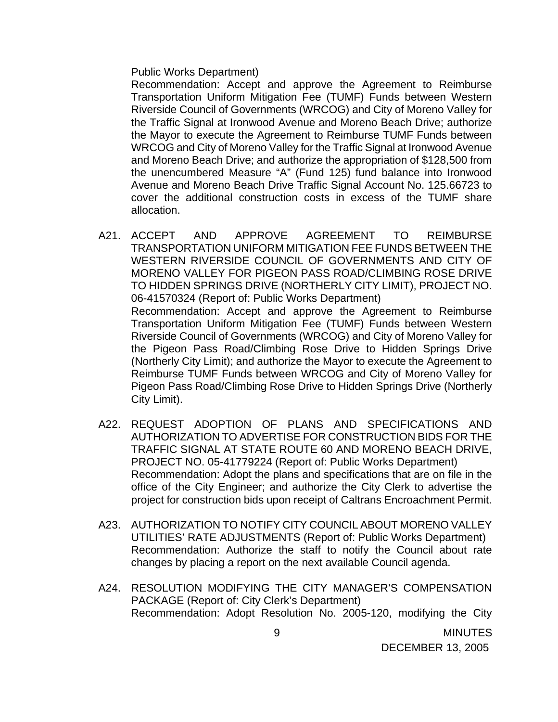Public Works Department)

 Recommendation: Accept and approve the Agreement to Reimburse Transportation Uniform Mitigation Fee (TUMF) Funds between Western Riverside Council of Governments (WRCOG) and City of Moreno Valley for the Traffic Signal at Ironwood Avenue and Moreno Beach Drive; authorize the Mayor to execute the Agreement to Reimburse TUMF Funds between WRCOG and City of Moreno Valley for the Traffic Signal at Ironwood Avenue and Moreno Beach Drive; and authorize the appropriation of \$128,500 from the unencumbered Measure "A" (Fund 125) fund balance into Ironwood Avenue and Moreno Beach Drive Traffic Signal Account No. 125.66723 to cover the additional construction costs in excess of the TUMF share allocation.

A21. ACCEPT AND APPROVE AGREEMENT TO REIMBURSE TRANSPORTATION UNIFORM MITIGATION FEE FUNDS BETWEEN THE WESTERN RIVERSIDE COUNCIL OF GOVERNMENTS AND CITY OF MORENO VALLEY FOR PIGEON PASS ROAD/CLIMBING ROSE DRIVE TO HIDDEN SPRINGS DRIVE (NORTHERLY CITY LIMIT), PROJECT NO. 06-41570324 (Report of: Public Works Department) Recommendation: Accept and approve the Agreement to Reimburse Transportation Uniform Mitigation Fee (TUMF) Funds between Western Riverside Council of Governments (WRCOG) and City of Moreno Valley for the Pigeon Pass Road/Climbing Rose Drive to Hidden Springs Drive

(Northerly City Limit); and authorize the Mayor to execute the Agreement to Reimburse TUMF Funds between WRCOG and City of Moreno Valley for Pigeon Pass Road/Climbing Rose Drive to Hidden Springs Drive (Northerly City Limit).

- A22. REQUEST ADOPTION OF PLANS AND SPECIFICATIONS AND AUTHORIZATION TO ADVERTISE FOR CONSTRUCTION BIDS FOR THE TRAFFIC SIGNAL AT STATE ROUTE 60 AND MORENO BEACH DRIVE, PROJECT NO. 05-41779224 (Report of: Public Works Department) Recommendation: Adopt the plans and specifications that are on file in the office of the City Engineer; and authorize the City Clerk to advertise the project for construction bids upon receipt of Caltrans Encroachment Permit.
- A23. AUTHORIZATION TO NOTIFY CITY COUNCIL ABOUT MORENO VALLEY UTILITIES' RATE ADJUSTMENTS (Report of: Public Works Department) Recommendation: Authorize the staff to notify the Council about rate changes by placing a report on the next available Council agenda.
- A24. RESOLUTION MODIFYING THE CITY MANAGER'S COMPENSATION PACKAGE (Report of: City Clerk's Department) Recommendation: Adopt Resolution No. 2005-120, modifying the City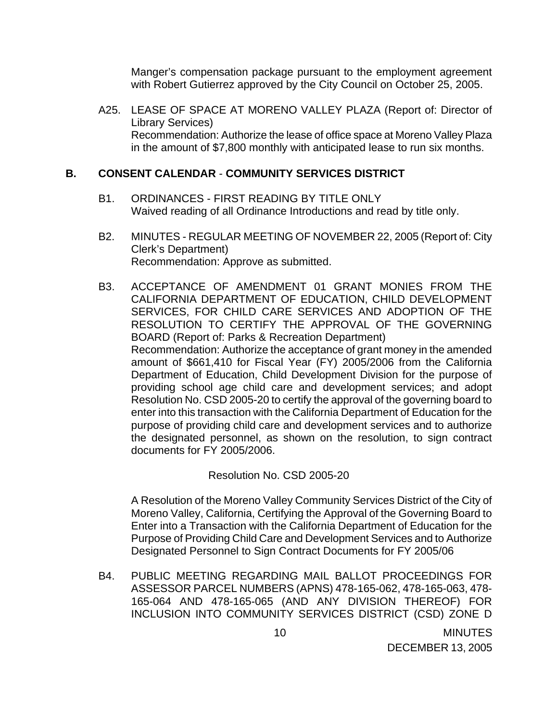Manger's compensation package pursuant to the employment agreement with Robert Gutierrez approved by the City Council on October 25, 2005.

A25. LEASE OF SPACE AT MORENO VALLEY PLAZA (Report of: Director of Library Services) Recommendation: Authorize the lease of office space at Moreno Valley Plaza in the amount of \$7,800 monthly with anticipated lease to run six months.

## **B. CONSENT CALENDAR** - **COMMUNITY SERVICES DISTRICT**

- B1. ORDINANCES FIRST READING BY TITLE ONLY Waived reading of all Ordinance Introductions and read by title only.
- B2. MINUTES REGULAR MEETING OF NOVEMBER 22, 2005 (Report of: City Clerk's Department) Recommendation: Approve as submitted.
- B3. ACCEPTANCE OF AMENDMENT 01 GRANT MONIES FROM THE CALIFORNIA DEPARTMENT OF EDUCATION, CHILD DEVELOPMENT SERVICES, FOR CHILD CARE SERVICES AND ADOPTION OF THE RESOLUTION TO CERTIFY THE APPROVAL OF THE GOVERNING BOARD (Report of: Parks & Recreation Department) Recommendation: Authorize the acceptance of grant money in the amended amount of \$661,410 for Fiscal Year (FY) 2005/2006 from the California Department of Education, Child Development Division for the purpose of providing school age child care and development services; and adopt Resolution No. CSD 2005-20 to certify the approval of the governing board to enter into this transaction with the California Department of Education for the purpose of providing child care and development services and to authorize the designated personnel, as shown on the resolution, to sign contract documents for FY 2005/2006.

Resolution No. CSD 2005-20

 A Resolution of the Moreno Valley Community Services District of the City of Moreno Valley, California, Certifying the Approval of the Governing Board to Enter into a Transaction with the California Department of Education for the Purpose of Providing Child Care and Development Services and to Authorize Designated Personnel to Sign Contract Documents for FY 2005/06

B4. PUBLIC MEETING REGARDING MAIL BALLOT PROCEEDINGS FOR ASSESSOR PARCEL NUMBERS (APNS) 478-165-062, 478-165-063, 478- 165-064 AND 478-165-065 (AND ANY DIVISION THEREOF) FOR INCLUSION INTO COMMUNITY SERVICES DISTRICT (CSD) ZONE D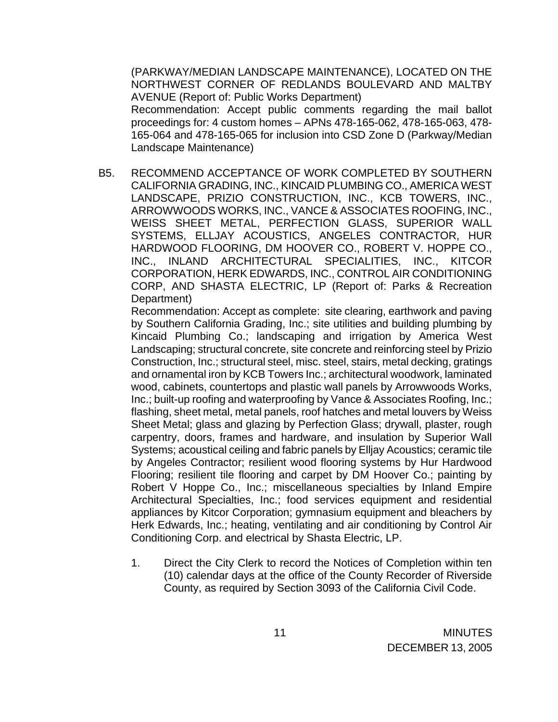(PARKWAY/MEDIAN LANDSCAPE MAINTENANCE), LOCATED ON THE NORTHWEST CORNER OF REDLANDS BOULEVARD AND MALTBY AVENUE (Report of: Public Works Department) Recommendation: Accept public comments regarding the mail ballot proceedings for: 4 custom homes – APNs 478-165-062, 478-165-063, 478- 165-064 and 478-165-065 for inclusion into CSD Zone D (Parkway/Median Landscape Maintenance)

B5. RECOMMEND ACCEPTANCE OF WORK COMPLETED BY SOUTHERN CALIFORNIA GRADING, INC., KINCAID PLUMBING CO., AMERICA WEST LANDSCAPE, PRIZIO CONSTRUCTION, INC., KCB TOWERS, INC., ARROWWOODS WORKS, INC., VANCE & ASSOCIATES ROOFING, INC., WEISS SHEET METAL, PERFECTION GLASS, SUPERIOR WALL SYSTEMS, ELLJAY ACOUSTICS, ANGELES CONTRACTOR, HUR HARDWOOD FLOORING, DM HOOVER CO., ROBERT V. HOPPE CO., INC., INLAND ARCHITECTURAL SPECIALITIES, INC., KITCOR CORPORATION, HERK EDWARDS, INC., CONTROL AIR CONDITIONING CORP, AND SHASTA ELECTRIC, LP (Report of: Parks & Recreation Department)

 Recommendation: Accept as complete: site clearing, earthwork and paving by Southern California Grading, Inc.; site utilities and building plumbing by Kincaid Plumbing Co.; landscaping and irrigation by America West Landscaping; structural concrete, site concrete and reinforcing steel by Prizio Construction, Inc.; structural steel, misc. steel, stairs, metal decking, gratings and ornamental iron by KCB Towers Inc.; architectural woodwork, laminated wood, cabinets, countertops and plastic wall panels by Arrowwoods Works, Inc.; built-up roofing and waterproofing by Vance & Associates Roofing, Inc.; flashing, sheet metal, metal panels, roof hatches and metal louvers by Weiss Sheet Metal; glass and glazing by Perfection Glass; drywall, plaster, rough carpentry, doors, frames and hardware, and insulation by Superior Wall Systems; acoustical ceiling and fabric panels by Elljay Acoustics; ceramic tile by Angeles Contractor; resilient wood flooring systems by Hur Hardwood Flooring; resilient tile flooring and carpet by DM Hoover Co.; painting by Robert V Hoppe Co., Inc.; miscellaneous specialties by Inland Empire Architectural Specialties, Inc.; food services equipment and residential appliances by Kitcor Corporation; gymnasium equipment and bleachers by Herk Edwards, Inc.; heating, ventilating and air conditioning by Control Air Conditioning Corp. and electrical by Shasta Electric, LP.

1. Direct the City Clerk to record the Notices of Completion within ten (10) calendar days at the office of the County Recorder of Riverside County, as required by Section 3093 of the California Civil Code.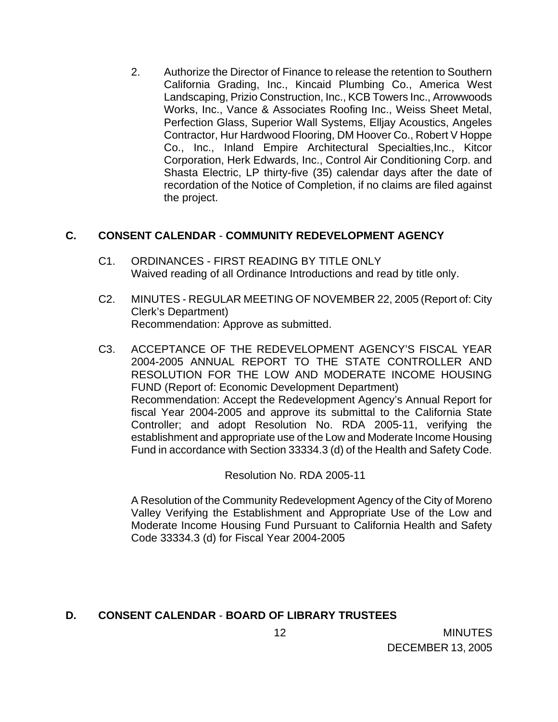2. Authorize the Director of Finance to release the retention to Southern California Grading, Inc., Kincaid Plumbing Co., America West Landscaping, Prizio Construction, Inc., KCB Towers Inc., Arrowwoods Works, Inc., Vance & Associates Roofing Inc., Weiss Sheet Metal, Perfection Glass, Superior Wall Systems, Elljay Acoustics, Angeles Contractor, Hur Hardwood Flooring, DM Hoover Co., Robert V Hoppe Co., Inc., Inland Empire Architectural Specialties,Inc., Kitcor Corporation, Herk Edwards, Inc., Control Air Conditioning Corp. and Shasta Electric, LP thirty-five (35) calendar days after the date of recordation of the Notice of Completion, if no claims are filed against the project.

## **C. CONSENT CALENDAR** - **COMMUNITY REDEVELOPMENT AGENCY**

- C1. ORDINANCES FIRST READING BY TITLE ONLY Waived reading of all Ordinance Introductions and read by title only.
- C2. MINUTES REGULAR MEETING OF NOVEMBER 22, 2005 (Report of: City Clerk's Department) Recommendation: Approve as submitted.
- C3. ACCEPTANCE OF THE REDEVELOPMENT AGENCY'S FISCAL YEAR 2004-2005 ANNUAL REPORT TO THE STATE CONTROLLER AND RESOLUTION FOR THE LOW AND MODERATE INCOME HOUSING FUND (Report of: Economic Development Department) Recommendation: Accept the Redevelopment Agency's Annual Report for fiscal Year 2004-2005 and approve its submittal to the California State Controller; and adopt Resolution No. RDA 2005-11, verifying the establishment and appropriate use of the Low and Moderate Income Housing Fund in accordance with Section 33334.3 (d) of the Health and Safety Code.

Resolution No. RDA 2005-11

A Resolution of the Community Redevelopment Agency of the City of Moreno Valley Verifying the Establishment and Appropriate Use of the Low and Moderate Income Housing Fund Pursuant to California Health and Safety Code 33334.3 (d) for Fiscal Year 2004-2005

## **D. CONSENT CALENDAR** - **BOARD OF LIBRARY TRUSTEES**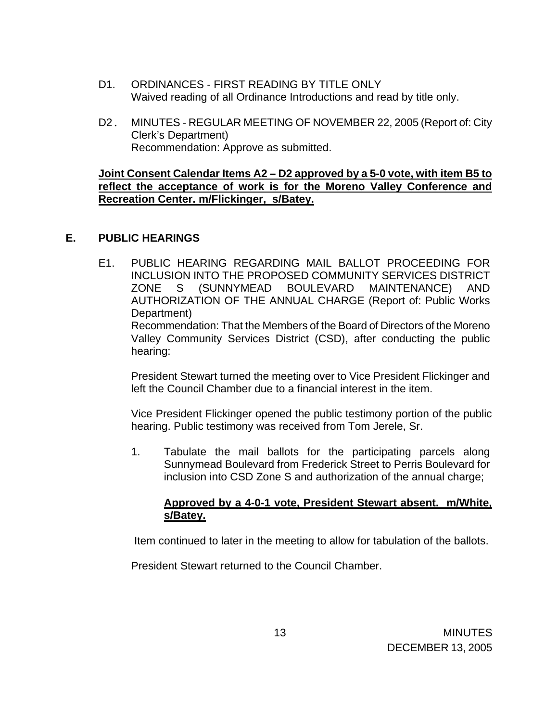- D1. ORDINANCES FIRST READING BY TITLE ONLY Waived reading of all Ordinance Introductions and read by title only.
- D2. MINUTES REGULAR MEETING OF NOVEMBER 22, 2005 (Report of: City Clerk's Department) Recommendation: Approve as submitted.

### **Joint Consent Calendar Items A2 – D2 approved by a 5-0 vote, with item B5 to reflect the acceptance of work is for the Moreno Valley Conference and Recreation Center. m/Flickinger, s/Batey.**

## **E. PUBLIC HEARINGS**

E1. PUBLIC HEARING REGARDING MAIL BALLOT PROCEEDING FOR INCLUSION INTO THE PROPOSED COMMUNITY SERVICES DISTRICT ZONE S (SUNNYMEAD BOULEVARD MAINTENANCE) AND AUTHORIZATION OF THE ANNUAL CHARGE (Report of: Public Works Department) Recommendation: That the Members of the Board of Directors of the Moreno Valley Community Services District (CSD), after conducting the public hearing:

President Stewart turned the meeting over to Vice President Flickinger and left the Council Chamber due to a financial interest in the item.

Vice President Flickinger opened the public testimony portion of the public hearing. Public testimony was received from Tom Jerele, Sr.

1. Tabulate the mail ballots for the participating parcels along Sunnymead Boulevard from Frederick Street to Perris Boulevard for inclusion into CSD Zone S and authorization of the annual charge;

## **Approved by a 4-0-1 vote, President Stewart absent. m/White, s/Batey.**

Item continued to later in the meeting to allow for tabulation of the ballots.

President Stewart returned to the Council Chamber.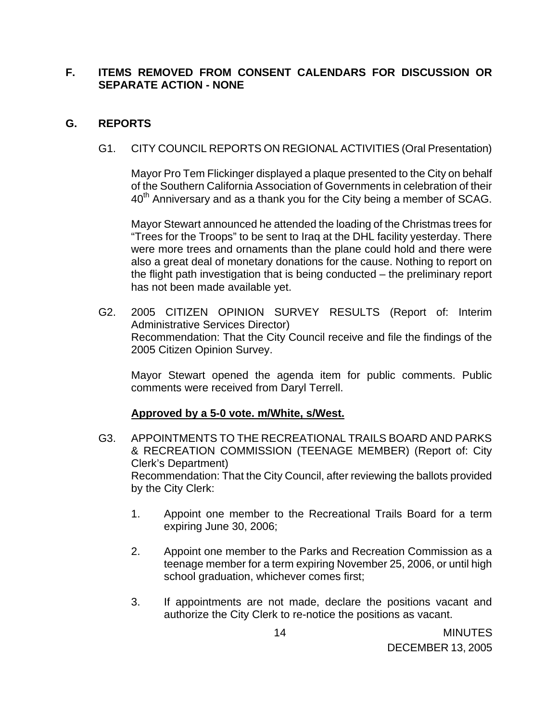## **F. ITEMS REMOVED FROM CONSENT CALENDARS FOR DISCUSSION OR SEPARATE ACTION - NONE**

## **G. REPORTS**

G1. CITY COUNCIL REPORTS ON REGIONAL ACTIVITIES (Oral Presentation)

 Mayor Pro Tem Flickinger displayed a plaque presented to the City on behalf of the Southern California Association of Governments in celebration of their  $40<sup>th</sup>$  Anniversary and as a thank you for the City being a member of SCAG.

 Mayor Stewart announced he attended the loading of the Christmas trees for "Trees for the Troops" to be sent to Iraq at the DHL facility yesterday. There were more trees and ornaments than the plane could hold and there were also a great deal of monetary donations for the cause. Nothing to report on the flight path investigation that is being conducted – the preliminary report has not been made available yet.

G2. 2005 CITIZEN OPINION SURVEY RESULTS (Report of: Interim Administrative Services Director) Recommendation: That the City Council receive and file the findings of the 2005 Citizen Opinion Survey.

Mayor Stewart opened the agenda item for public comments. Public comments were received from Daryl Terrell.

### **Approved by a 5-0 vote. m/White, s/West.**

- G3. APPOINTMENTS TO THE RECREATIONAL TRAILS BOARD AND PARKS & RECREATION COMMISSION (TEENAGE MEMBER) (Report of: City Clerk's Department) Recommendation: That the City Council, after reviewing the ballots provided by the City Clerk:
	- 1. Appoint one member to the Recreational Trails Board for a term expiring June 30, 2006;
	- 2. Appoint one member to the Parks and Recreation Commission as a teenage member for a term expiring November 25, 2006, or until high school graduation, whichever comes first;
	- 3. If appointments are not made, declare the positions vacant and authorize the City Clerk to re-notice the positions as vacant.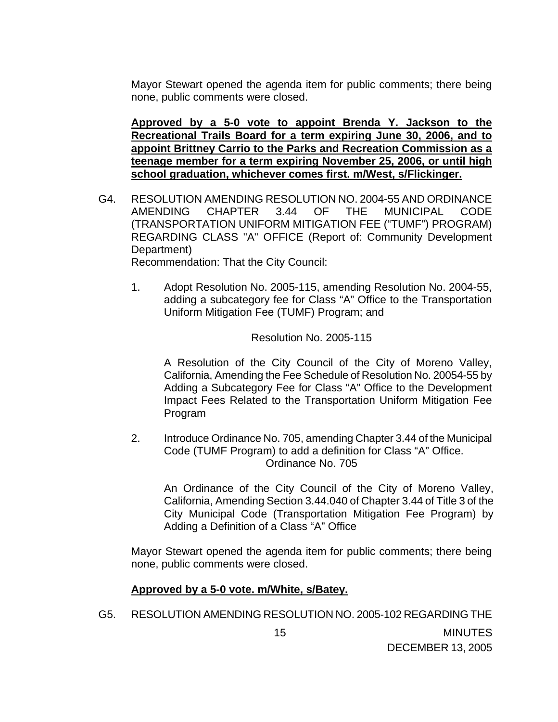Mayor Stewart opened the agenda item for public comments; there being none, public comments were closed.

**Approved by a 5-0 vote to appoint Brenda Y. Jackson to the Recreational Trails Board for a term expiring June 30, 2006, and to appoint Brittney Carrio to the Parks and Recreation Commission as a teenage member for a term expiring November 25, 2006, or until high school graduation, whichever comes first. m/West, s/Flickinger.**

G4. RESOLUTION AMENDING RESOLUTION NO. 2004-55 AND ORDINANCE AMENDING CHAPTER 3.44 OF THE MUNICIPAL CODE (TRANSPORTATION UNIFORM MITIGATION FEE ("TUMF") PROGRAM) REGARDING CLASS "A" OFFICE (Report of: Community Development Department)

Recommendation: That the City Council:

1. Adopt Resolution No. 2005-115, amending Resolution No. 2004-55, adding a subcategory fee for Class "A" Office to the Transportation Uniform Mitigation Fee (TUMF) Program; and

### Resolution No. 2005-115

A Resolution of the City Council of the City of Moreno Valley, California, Amending the Fee Schedule of Resolution No. 20054-55 by Adding a Subcategory Fee for Class "A" Office to the Development Impact Fees Related to the Transportation Uniform Mitigation Fee Program

2. Introduce Ordinance No. 705, amending Chapter 3.44 of the Municipal Code (TUMF Program) to add a definition for Class "A" Office. Ordinance No. 705

An Ordinance of the City Council of the City of Moreno Valley, California, Amending Section 3.44.040 of Chapter 3.44 of Title 3 of the City Municipal Code (Transportation Mitigation Fee Program) by Adding a Definition of a Class "A" Office

 Mayor Stewart opened the agenda item for public comments; there being none, public comments were closed.

### **Approved by a 5-0 vote. m/White, s/Batey.**

G5. RESOLUTION AMENDING RESOLUTION NO. 2005-102 REGARDING THE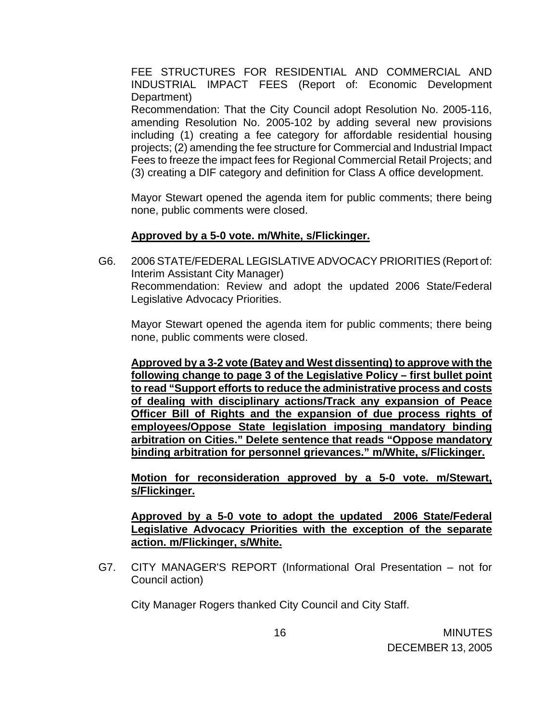FEE STRUCTURES FOR RESIDENTIAL AND COMMERCIAL AND INDUSTRIAL IMPACT FEES (Report of: Economic Development Department)

 Recommendation: That the City Council adopt Resolution No. 2005-116, amending Resolution No. 2005-102 by adding several new provisions including (1) creating a fee category for affordable residential housing projects; (2) amending the fee structure for Commercial and Industrial Impact Fees to freeze the impact fees for Regional Commercial Retail Projects; and (3) creating a DIF category and definition for Class A office development.

 Mayor Stewart opened the agenda item for public comments; there being none, public comments were closed.

### **Approved by a 5-0 vote. m/White, s/Flickinger.**

G6. 2006 STATE/FEDERAL LEGISLATIVE ADVOCACY PRIORITIES (Report of: Interim Assistant City Manager) Recommendation: Review and adopt the updated 2006 State/Federal Legislative Advocacy Priorities.

 Mayor Stewart opened the agenda item for public comments; there being none, public comments were closed.

**Approved by a 3-2 vote (Batey and West dissenting) to approve with the following change to page 3 of the Legislative Policy – first bullet point to read "Support efforts to reduce the administrative process and costs of dealing with disciplinary actions/Track any expansion of Peace Officer Bill of Rights and the expansion of due process rights of employees/Oppose State legislation imposing mandatory binding arbitration on Cities." Delete sentence that reads "Oppose mandatory binding arbitration for personnel grievances." m/White, s/Flickinger.**

**Motion for reconsideration approved by a 5-0 vote. m/Stewart, s/Flickinger.**

 **Approved by a 5-0 vote to adopt the updated 2006 State/Federal Legislative Advocacy Priorities with the exception of the separate action. m/Flickinger, s/White.**

G7. CITY MANAGER'S REPORT (Informational Oral Presentation – not for Council action)

City Manager Rogers thanked City Council and City Staff.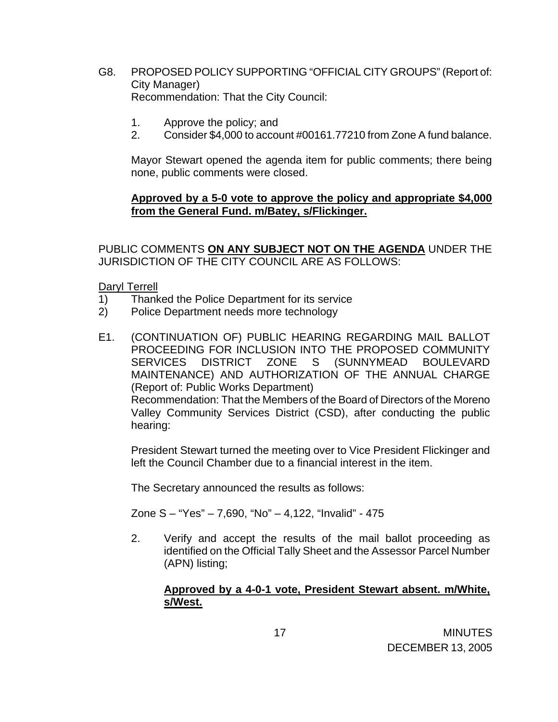- G8. PROPOSED POLICY SUPPORTING "OFFICIAL CITY GROUPS" (Report of: City Manager) Recommendation: That the City Council:
	- 1. Approve the policy; and
	- 2. Consider \$4,000 to account #00161.77210 from Zone A fund balance.

 Mayor Stewart opened the agenda item for public comments; there being none, public comments were closed.

### **Approved by a 5-0 vote to approve the policy and appropriate \$4,000 from the General Fund. m/Batey, s/Flickinger.**

 PUBLIC COMMENTS **ON ANY SUBJECT NOT ON THE AGENDA** UNDER THE JURISDICTION OF THE CITY COUNCIL ARE AS FOLLOWS:

#### Daryl Terrell

- 1) Thanked the Police Department for its service
- 2) Police Department needs more technology
- E1. (CONTINUATION OF) PUBLIC HEARING REGARDING MAIL BALLOT PROCEEDING FOR INCLUSION INTO THE PROPOSED COMMUNITY SERVICES DISTRICT ZONE S (SUNNYMEAD BOULEVARD MAINTENANCE) AND AUTHORIZATION OF THE ANNUAL CHARGE (Report of: Public Works Department) Recommendation: That the Members of the Board of Directors of the Moreno Valley Community Services District (CSD), after conducting the public hearing:

President Stewart turned the meeting over to Vice President Flickinger and left the Council Chamber due to a financial interest in the item.

The Secretary announced the results as follows:

Zone S – "Yes" – 7,690, "No" – 4,122, "Invalid" - 475

2. Verify and accept the results of the mail ballot proceeding as identified on the Official Tally Sheet and the Assessor Parcel Number (APN) listing;

## **Approved by a 4-0-1 vote, President Stewart absent. m/White, s/West.**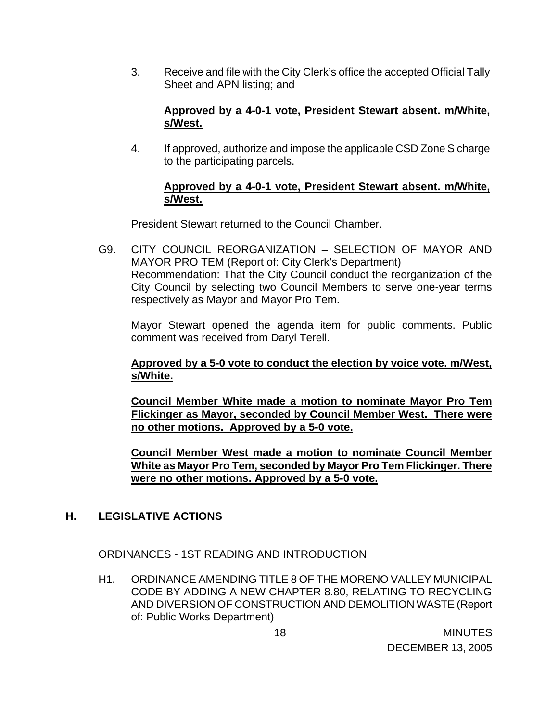3. Receive and file with the City Clerk's office the accepted Official Tally Sheet and APN listing; and

## **Approved by a 4-0-1 vote, President Stewart absent. m/White, s/West.**

4. If approved, authorize and impose the applicable CSD Zone S charge to the participating parcels.

## **Approved by a 4-0-1 vote, President Stewart absent. m/White, s/West.**

President Stewart returned to the Council Chamber.

G9. CITY COUNCIL REORGANIZATION – SELECTION OF MAYOR AND MAYOR PRO TEM (Report of: City Clerk's Department) Recommendation: That the City Council conduct the reorganization of the City Council by selecting two Council Members to serve one-year terms respectively as Mayor and Mayor Pro Tem.

 Mayor Stewart opened the agenda item for public comments. Public comment was received from Daryl Terell.

## **Approved by a 5-0 vote to conduct the election by voice vote. m/West, s/White.**

**Council Member White made a motion to nominate Mayor Pro Tem Flickinger as Mayor, seconded by Council Member West. There were no other motions. Approved by a 5-0 vote.** 

 **Council Member West made a motion to nominate Council Member White as Mayor Pro Tem, seconded by Mayor Pro Tem Flickinger. There were no other motions. Approved by a 5-0 vote.**

# **H. LEGISLATIVE ACTIONS**

ORDINANCES - 1ST READING AND INTRODUCTION

H1. ORDINANCE AMENDING TITLE 8 OF THE MORENO VALLEY MUNICIPAL CODE BY ADDING A NEW CHAPTER 8.80, RELATING TO RECYCLING AND DIVERSION OF CONSTRUCTION AND DEMOLITION WASTE (Report of: Public Works Department)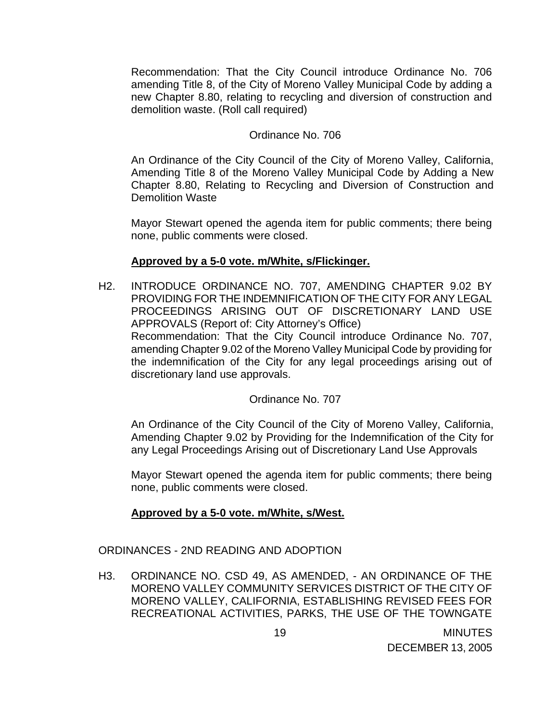Recommendation: That the City Council introduce Ordinance No. 706 amending Title 8, of the City of Moreno Valley Municipal Code by adding a new Chapter 8.80, relating to recycling and diversion of construction and demolition waste. (Roll call required)

#### Ordinance No. 706

An Ordinance of the City Council of the City of Moreno Valley, California, Amending Title 8 of the Moreno Valley Municipal Code by Adding a New Chapter 8.80, Relating to Recycling and Diversion of Construction and Demolition Waste

 Mayor Stewart opened the agenda item for public comments; there being none, public comments were closed.

### **Approved by a 5-0 vote. m/White, s/Flickinger.**

H2. INTRODUCE ORDINANCE NO. 707, AMENDING CHAPTER 9.02 BY PROVIDING FOR THE INDEMNIFICATION OF THE CITY FOR ANY LEGAL PROCEEDINGS ARISING OUT OF DISCRETIONARY LAND USE APPROVALS (Report of: City Attorney's Office) Recommendation: That the City Council introduce Ordinance No. 707,

amending Chapter 9.02 of the Moreno Valley Municipal Code by providing for the indemnification of the City for any legal proceedings arising out of discretionary land use approvals.

### Ordinance No. 707

 An Ordinance of the City Council of the City of Moreno Valley, California, Amending Chapter 9.02 by Providing for the Indemnification of the City for any Legal Proceedings Arising out of Discretionary Land Use Approvals

 Mayor Stewart opened the agenda item for public comments; there being none, public comments were closed.

### **Approved by a 5-0 vote. m/White, s/West.**

### ORDINANCES - 2ND READING AND ADOPTION

H3. ORDINANCE NO. CSD 49, AS AMENDED, - AN ORDINANCE OF THE MORENO VALLEY COMMUNITY SERVICES DISTRICT OF THE CITY OF MORENO VALLEY, CALIFORNIA, ESTABLISHING REVISED FEES FOR RECREATIONAL ACTIVITIES, PARKS, THE USE OF THE TOWNGATE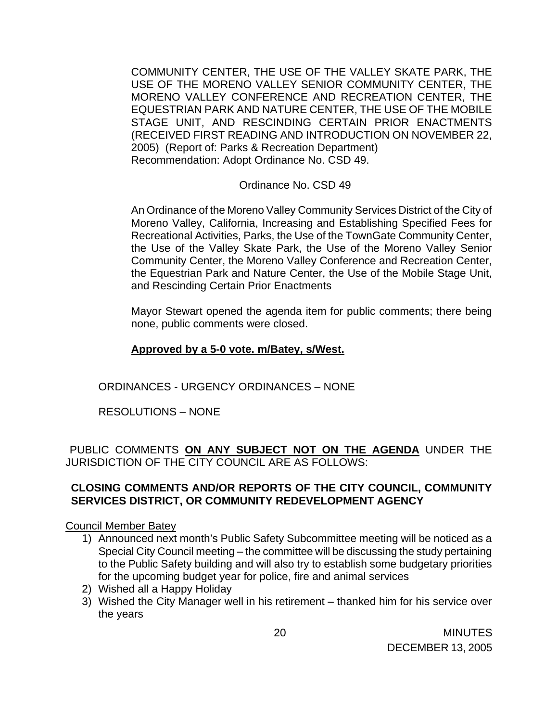COMMUNITY CENTER, THE USE OF THE VALLEY SKATE PARK, THE USE OF THE MORENO VALLEY SENIOR COMMUNITY CENTER, THE MORENO VALLEY CONFERENCE AND RECREATION CENTER, THE EQUESTRIAN PARK AND NATURE CENTER, THE USE OF THE MOBILE STAGE UNIT, AND RESCINDING CERTAIN PRIOR ENACTMENTS (RECEIVED FIRST READING AND INTRODUCTION ON NOVEMBER 22, 2005) (Report of: Parks & Recreation Department) Recommendation: Adopt Ordinance No. CSD 49.

### Ordinance No. CSD 49

An Ordinance of the Moreno Valley Community Services District of the City of Moreno Valley, California, Increasing and Establishing Specified Fees for Recreational Activities, Parks, the Use of the TownGate Community Center, the Use of the Valley Skate Park, the Use of the Moreno Valley Senior Community Center, the Moreno Valley Conference and Recreation Center, the Equestrian Park and Nature Center, the Use of the Mobile Stage Unit, and Rescinding Certain Prior Enactments

 Mayor Stewart opened the agenda item for public comments; there being none, public comments were closed.

## **Approved by a 5-0 vote. m/Batey, s/West.**

ORDINANCES - URGENCY ORDINANCES – NONE

RESOLUTIONS – NONE

PUBLIC COMMENTS **ON ANY SUBJECT NOT ON THE AGENDA** UNDER THE JURISDICTION OF THE CITY COUNCIL ARE AS FOLLOWS:

## **CLOSING COMMENTS AND/OR REPORTS OF THE CITY COUNCIL, COMMUNITY SERVICES DISTRICT, OR COMMUNITY REDEVELOPMENT AGENCY**

### Council Member Batey

- 1) Announced next month's Public Safety Subcommittee meeting will be noticed as a Special City Council meeting – the committee will be discussing the study pertaining to the Public Safety building and will also try to establish some budgetary priorities for the upcoming budget year for police, fire and animal services
- 2) Wished all a Happy Holiday
- 3) Wished the City Manager well in his retirement thanked him for his service over the years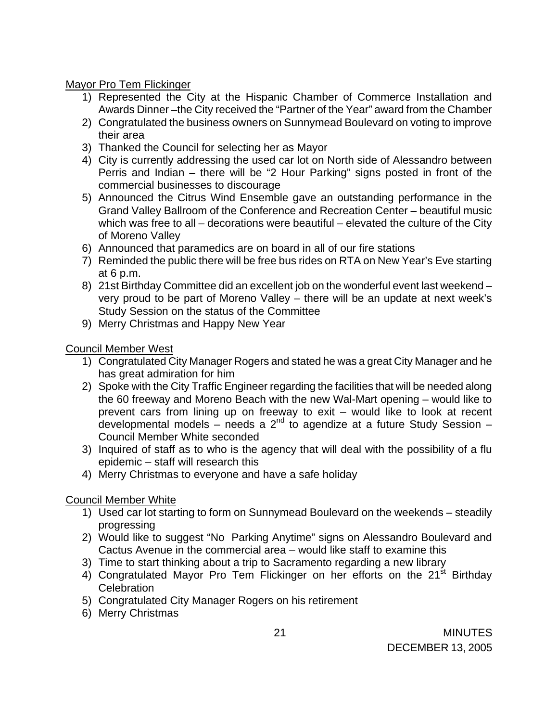## Mayor Pro Tem Flickinger

- 1) Represented the City at the Hispanic Chamber of Commerce Installation and Awards Dinner –the City received the "Partner of the Year" award from the Chamber
- 2) Congratulated the business owners on Sunnymead Boulevard on voting to improve their area
- 3) Thanked the Council for selecting her as Mayor
- 4) City is currently addressing the used car lot on North side of Alessandro between Perris and Indian – there will be "2 Hour Parking" signs posted in front of the commercial businesses to discourage
- 5) Announced the Citrus Wind Ensemble gave an outstanding performance in the Grand Valley Ballroom of the Conference and Recreation Center – beautiful music which was free to all – decorations were beautiful – elevated the culture of the City of Moreno Valley
- 6) Announced that paramedics are on board in all of our fire stations
- 7) Reminded the public there will be free bus rides on RTA on New Year's Eve starting at 6 p.m.
- 8) 21st Birthday Committee did an excellent job on the wonderful event last weekend very proud to be part of Moreno Valley – there will be an update at next week's Study Session on the status of the Committee
- 9) Merry Christmas and Happy New Year

## Council Member West

- 1) Congratulated City Manager Rogers and stated he was a great City Manager and he has great admiration for him
- 2) Spoke with the City Traffic Engineer regarding the facilities that will be needed along the 60 freeway and Moreno Beach with the new Wal-Mart opening – would like to prevent cars from lining up on freeway to exit – would like to look at recent developmental models – needs a  $2^{nd}$  to agendize at a future Study Session – Council Member White seconded
- 3) Inquired of staff as to who is the agency that will deal with the possibility of a flu epidemic – staff will research this
- 4) Merry Christmas to everyone and have a safe holiday

# Council Member White

- 1) Used car lot starting to form on Sunnymead Boulevard on the weekends steadily progressing
- 2) Would like to suggest "No Parking Anytime" signs on Alessandro Boulevard and Cactus Avenue in the commercial area – would like staff to examine this
- 3) Time to start thinking about a trip to Sacramento regarding a new library
- 4) Congratulated Mayor Pro Tem Flickinger on her efforts on the 21<sup>st</sup> Birthday **Celebration**
- 5) Congratulated City Manager Rogers on his retirement
- 6) Merry Christmas